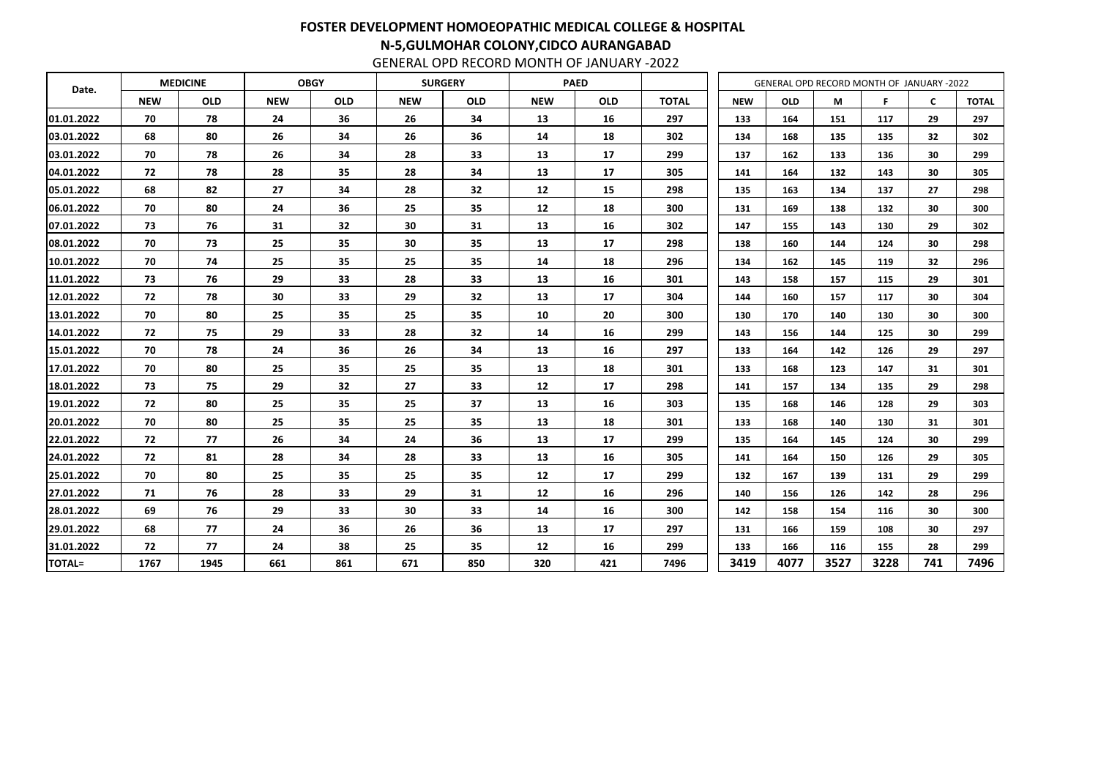| Date.         |            | <b>MEDICINE</b> |            | <b>OBGY</b> |                 | <b>SURGERY</b> |            | <b>PAED</b> |              | GENERAL OPD RECORD MONTH OF JANUARY -2022 |            |      |      |              |              |
|---------------|------------|-----------------|------------|-------------|-----------------|----------------|------------|-------------|--------------|-------------------------------------------|------------|------|------|--------------|--------------|
|               | <b>NEW</b> | <b>OLD</b>      | <b>NEW</b> | <b>OLD</b>  | <b>NEW</b>      | <b>OLD</b>     | <b>NEW</b> | <b>OLD</b>  | <b>TOTAL</b> | <b>NEW</b>                                | <b>OLD</b> | M    | F.   | $\mathsf{C}$ | <b>TOTAL</b> |
| 01.01.2022    | 70         | 78              | 24         | 36          | 26              | 34             | 13         | 16          | 297          | 133                                       | 164        | 151  | 117  | 29           | 297          |
| 03.01.2022    | 68         | 80              | 26         | 34          | 26              | 36             | 14         | 18          | 302          | 134                                       | 168        | 135  | 135  | 32           | 302          |
| 03.01.2022    | 70         | 78              | 26         | 34          | 28              | 33             | 13         | 17          | 299          | 137                                       | 162        | 133  | 136  | 30           | 299          |
| 04.01.2022    | 72         | 78              | 28         | 35          | 28              | 34             | 13         | 17          | 305          | 141                                       | 164        | 132  | 143  | 30           | 305          |
| 05.01.2022    | 68         | 82              | 27         | 34          | 28              | 32             | 12         | 15          | 298          | 135                                       | 163        | 134  | 137  | 27           | 298          |
| 06.01.2022    | 70         | 80              | 24         | 36          | 25              | 35             | 12         | 18          | 300          | 131                                       | 169        | 138  | 132  | 30           | 300          |
| 07.01.2022    | 73         | 76              | 31         | 32          | 30              | 31             | 13         | 16          | 302          | 147                                       | 155        | 143  | 130  | 29           | 302          |
| 08.01.2022    | 70         | 73              | 25         | 35          | 30              | 35             | 13         | 17          | 298          | 138                                       | 160        | 144  | 124  | 30           | 298          |
| 10.01.2022    | 70         | 74              | 25         | 35          | 25              | 35             | 14         | 18          | 296          | 134                                       | 162        | 145  | 119  | 32           | 296          |
| 11.01.2022    | 73         | 76              | 29         | 33          | 28              | 33             | 13         | 16          | 301          | 143                                       | 158        | 157  | 115  | 29           | 301          |
| 12.01.2022    | 72         | 78              | 30         | 33          | 29              | 32             | 13         | 17          | 304          | 144                                       | 160        | 157  | 117  | 30           | 304          |
| 13.01.2022    | 70         | 80              | 25         | 35          | 25              | 35             | 10         | 20          | 300          | 130                                       | 170        | 140  | 130  | 30           | 300          |
| 14.01.2022    | 72         | 75              | 29         | 33          | 28              | 32             | 14         | 16          | 299          | 143                                       | 156        | 144  | 125  | 30           | 299          |
| 15.01.2022    | 70         | 78              | 24         | 36          | 26              | 34             | 13         | 16          | 297          | 133                                       | 164        | 142  | 126  | 29           | 297          |
| 17.01.2022    | 70         | 80              | 25         | 35          | 25              | 35             | 13         | 18          | 301          | 133                                       | 168        | 123  | 147  | 31           | 301          |
| 18.01.2022    | 73         | 75              | 29         | 32          | 27              | 33             | 12         | 17          | 298          | 141                                       | 157        | 134  | 135  | 29           | 298          |
| 19.01.2022    | 72         | 80              | 25         | 35          | 25              | 37             | 13         | 16          | 303          | 135                                       | 168        | 146  | 128  | 29           | 303          |
| 20.01.2022    | 70         | 80              | 25         | 35          | 25              | 35             | 13         | 18          | 301          | 133                                       | 168        | 140  | 130  | 31           | 301          |
| 22.01.2022    | 72         | 77              | 26         | 34          | 24              | 36             | 13         | 17          | 299          | 135                                       | 164        | 145  | 124  | 30           | 299          |
| 24.01.2022    | 72         | 81              | 28         | 34          | 28              | 33             | 13         | 16          | 305          | 141                                       | 164        | 150  | 126  | 29           | 305          |
| 25.01.2022    | 70         | 80              | 25         | 35          | 25              | 35             | 12         | 17          | 299          | 132                                       | 167        | 139  | 131  | 29           | 299          |
| 27.01.2022    | 71         | 76              | 28         | 33          | 29              | 31             | 12         | 16          | 296          | 140                                       | 156        | 126  | 142  | 28           | 296          |
| 28.01.2022    | 69         | 76              | 29         | 33          | 30 <sub>o</sub> | 33             | 14         | 16          | 300          | 142                                       | 158        | 154  | 116  | 30           | 300          |
| 29.01.2022    | 68         | 77              | 24         | 36          | 26              | 36             | 13         | 17          | 297          | 131                                       | 166        | 159  | 108  | 30           | 297          |
| 31.01.2022    | 72         | 77              | 24         | 38          | 25              | 35             | 12         | 16          | 299          | 133                                       | 166        | 116  | 155  | 28           | 299          |
| <b>TOTAL=</b> | 1767       | 1945            | 661        | 861         | 671             | 850            | 320        | 421         | 7496         | 3419                                      | 4077       | 3527 | 3228 | 741          | 7496         |

## FOSTER DEVELOPMENT HOMOEOPATHIC MEDICAL COLLEGE & HOSPITAL N-5,GULMOHAR COLONY,CIDCO AURANGABAD

GENERAL OPD RECORD MONTH OF JANUARY -2022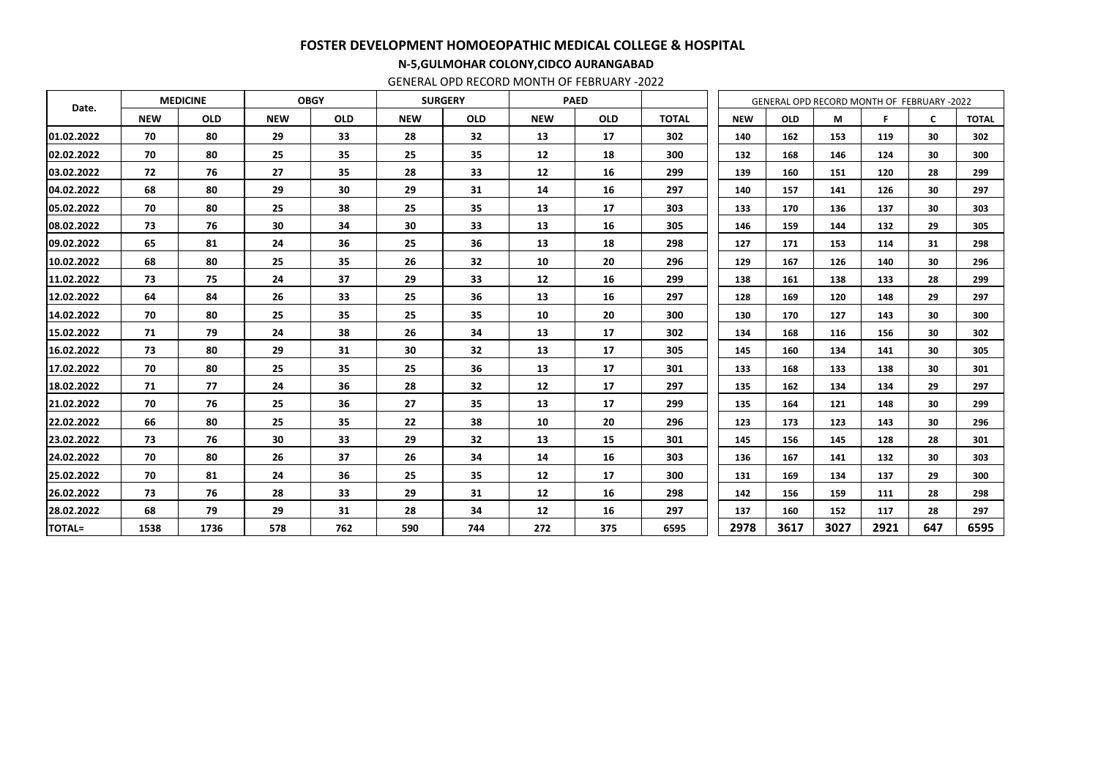| Date.         |            | <b>OBGY</b><br><b>SURGERY</b><br><b>MEDICINE</b> |            |            |            | <b>PAED</b> |            |            | GENERAL OPD RECORD MONTH OF FEBRUARY -2022 |            |            |      |      |              |              |
|---------------|------------|--------------------------------------------------|------------|------------|------------|-------------|------------|------------|--------------------------------------------|------------|------------|------|------|--------------|--------------|
|               | <b>NEW</b> | <b>OLD</b>                                       | <b>NEW</b> | <b>OLD</b> | <b>NEW</b> | <b>OLD</b>  | <b>NEW</b> | <b>OLD</b> | <b>TOTAL</b>                               | <b>NEW</b> | <b>OLD</b> | M    | F.   | $\mathsf{C}$ | <b>TOTAL</b> |
| 01.02.2022    | 70         | 80                                               | 29         | 33         | 28         | 32          | 13         | 17         | 302                                        | 140        | 162        | 153  | 119  | 30           | 302          |
| 02.02.2022    | 70         | 80                                               | 25         | 35         | 25         | 35          | 12         | 18         | 300                                        | 132        | 168        | 146  | 124  | 30           | 300          |
| 03.02.2022    | 72         | 76                                               | 27         | 35         | 28         | 33          | 12         | 16         | 299                                        | 139        | 160        | 151  | 120  | 28           | 299          |
| 04.02.2022    | 68         | 80                                               | 29         | 30         | 29         | 31          | 14         | 16         | 297                                        | 140        | 157        | 141  | 126  | 30           | 297          |
| 05.02.2022    | 70         | 80                                               | 25         | 38         | 25         | 35          | 13         | 17         | 303                                        | 133        | 170        | 136  | 137  | 30           | 303          |
| 08.02.2022    | 73         | 76                                               | 30         | 34         | 30         | 33          | 13         | 16         | 305                                        | 146        | 159        | 144  | 132  | 29           | 305          |
| 09.02.2022    | 65         | 81                                               | 24         | 36         | 25         | 36          | 13         | 18         | 298                                        | 127        | 171        | 153  | 114  | 31           | 298          |
| 10.02.2022    | 68         | 80                                               | 25         | 35         | 26         | 32          | 10         | 20         | 296                                        | 129        | 167        | 126  | 140  | 30           | 296          |
| 11.02.2022    | 73         | 75                                               | 24         | 37         | 29         | 33          | 12         | 16         | 299                                        | 138        | 161        | 138  | 133  | 28           | 299          |
| 12.02.2022    | 64         | 84                                               | 26         | 33         | 25         | 36          | 13         | 16         | 297                                        | 128        | 169        | 120  | 148  | 29           | 297          |
| 14.02.2022    | 70         | 80                                               | 25         | 35         | 25         | 35          | 10         | 20         | 300                                        | 130        | 170        | 127  | 143  | 30           | 300          |
| 15.02.2022    | 71         | 79                                               | 24         | 38         | 26         | 34          | 13         | 17         | 302                                        | 134        | 168        | 116  | 156  | 30           | 302          |
| 16.02.2022    | 73         | 80                                               | 29         | 31         | 30         | 32          | 13         | 17         | 305                                        | 145        | 160        | 134  | 141  | 30           | 305          |
| 17.02.2022    | 70         | 80                                               | 25         | 35         | 25         | 36          | 13         | 17         | 301                                        | 133        | 168        | 133  | 138  | 30           | 301          |
| 18.02.2022    | 71         | 77                                               | 24         | 36         | 28         | 32          | 12         | 17         | 297                                        | 135        | 162        | 134  | 134  | 29           | 297          |
| 21.02.2022    | 70         | 76                                               | 25         | 36         | 27         | 35          | 13         | 17         | 299                                        | 135        | 164        | 121  | 148  | 30           | 299          |
| 22.02.2022    | 66         | 80                                               | 25         | 35         | 22         | 38          | 10         | 20         | 296                                        | 123        | 173        | 123  | 143  | 30           | 296          |
| 23.02.2022    | 73         | 76                                               | 30         | 33         | 29         | 32          | 13         | 15         | 301                                        | 145        | 156        | 145  | 128  | 28           | 301          |
| 24.02.2022    | 70         | 80                                               | 26         | 37         | 26         | 34          | 14         | 16         | 303                                        | 136        | 167        | 141  | 132  | 30           | 303          |
| 25.02.2022    | 70         | 81                                               | 24         | 36         | 25         | 35          | 12         | 17         | 300                                        | 131        | 169        | 134  | 137  | 29           | 300          |
| 26.02.2022    | 73         | 76                                               | 28         | 33         | 29         | 31          | 12         | 16         | 298                                        | 142        | 156        | 159  | 111  | 28           | 298          |
| 28.02.2022    | 68         | 79                                               | 29         | 31         | 28         | 34          | 12         | 16         | 297                                        | 137        | 160        | 152  | 117  | 28           | 297          |
| <b>TOTAL=</b> | 1538       | 1736                                             | 578        | 762        | 590        | 744         | 272        | 375        | 6595                                       | 2978       | 3617       | 3027 | 2921 | 647          | 6595         |

# FOSTER DEVELOPMENT HOMOEOPATHIC MEDICAL COLLEGE & HOSPITAL

### N-5,GULMOHAR COLONY,CIDCO AURANGABAD

GENERAL OPD RECORD MONTH OF FEBRUARY -2022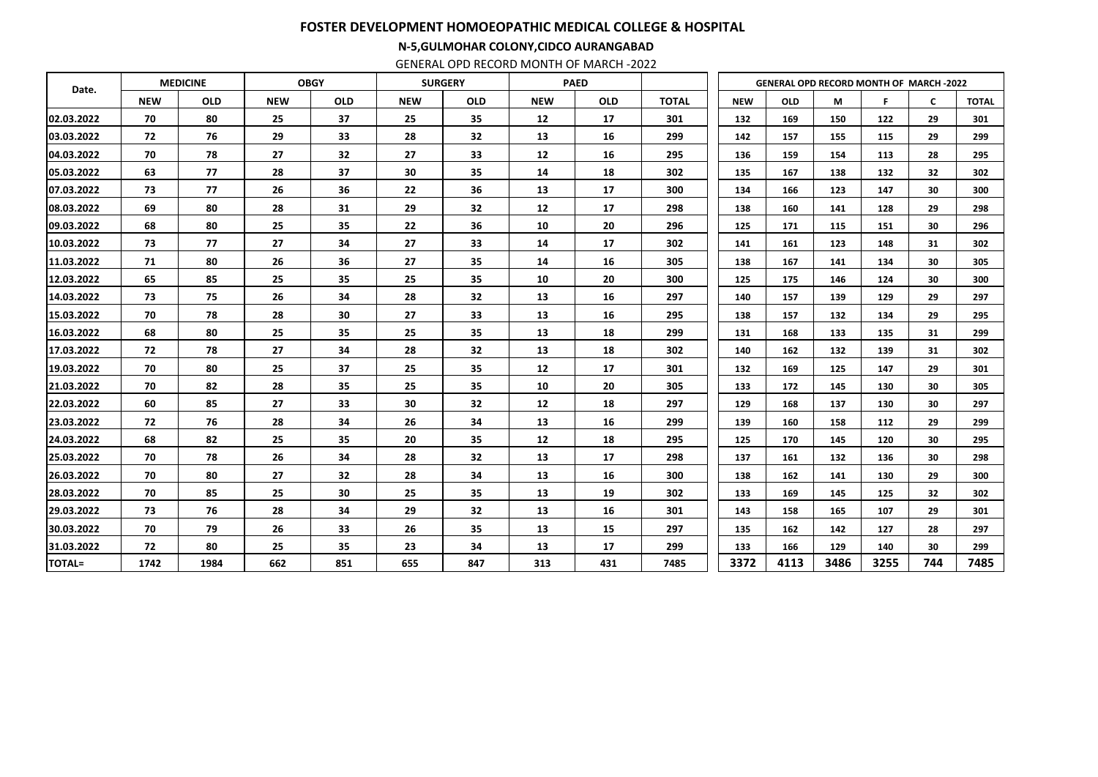| Date.         |            | <b>MEDICINE</b> |            | <b>OBGY</b> | <b>SURGERY</b> |                 | <b>PAED</b> |            |              | <b>GENERAL OPD RECORD MONTH OF MARCH-2022</b> |            |      |      |              |              |
|---------------|------------|-----------------|------------|-------------|----------------|-----------------|-------------|------------|--------------|-----------------------------------------------|------------|------|------|--------------|--------------|
|               | <b>NEW</b> | <b>OLD</b>      | <b>NEW</b> | <b>OLD</b>  | <b>NEW</b>     | <b>OLD</b>      | <b>NEW</b>  | <b>OLD</b> | <b>TOTAL</b> | <b>NEW</b>                                    | <b>OLD</b> | M    | F    | $\mathsf{C}$ | <b>TOTAL</b> |
| 02.03.2022    | 70         | 80              | 25         | 37          | 25             | 35              | 12          | 17         | 301          | 132                                           | 169        | 150  | 122  | 29           | 301          |
| 03.03.2022    | 72         | 76              | 29         | 33          | 28             | 32              | 13          | 16         | 299          | 142                                           | 157        | 155  | 115  | 29           | 299          |
| 04.03.2022    | 70         | 78              | 27         | 32          | 27             | 33              | 12          | 16         | 295          | 136                                           | 159        | 154  | 113  | 28           | 295          |
| 05.03.2022    | 63         | 77              | 28         | 37          | 30             | 35              | 14          | 18         | 302          | 135                                           | 167        | 138  | 132  | 32           | 302          |
| 07.03.2022    | 73         | 77              | 26         | 36          | 22             | 36              | 13          | 17         | 300          | 134                                           | 166        | 123  | 147  | 30           | 300          |
| 08.03.2022    | 69         | 80              | 28         | 31          | 29             | 32              | 12          | 17         | 298          | 138                                           | 160        | 141  | 128  | 29           | 298          |
| 09.03.2022    | 68         | 80              | 25         | 35          | 22             | 36              | 10          | 20         | 296          | 125                                           | 171        | 115  | 151  | 30           | 296          |
| 10.03.2022    | 73         | 77              | 27         | 34          | 27             | 33              | 14          | 17         | 302          | 141                                           | 161        | 123  | 148  | 31           | 302          |
| 11.03.2022    | 71         | 80              | 26         | 36          | 27             | 35              | 14          | 16         | 305          | 138                                           | 167        | 141  | 134  | 30           | 305          |
| 12.03.2022    | 65         | 85              | 25         | 35          | 25             | 35              | 10          | 20         | 300          | 125                                           | 175        | 146  | 124  | 30           | 300          |
| 14.03.2022    | 73         | 75              | 26         | 34          | 28             | 32              | 13          | 16         | 297          | 140                                           | 157        | 139  | 129  | 29           | 297          |
| 15.03.2022    | 70         | 78              | 28         | 30          | 27             | 33              | 13          | 16         | 295          | 138                                           | 157        | 132  | 134  | 29           | 295          |
| 16.03.2022    | 68         | 80              | 25         | 35          | 25             | 35              | 13          | 18         | 299          | 131                                           | 168        | 133  | 135  | 31           | 299          |
| 17.03.2022    | 72         | 78              | 27         | 34          | 28             | 32              | 13          | 18         | 302          | 140                                           | 162        | 132  | 139  | 31           | 302          |
| 19.03.2022    | 70         | 80              | 25         | 37          | 25             | 35              | 12          | 17         | 301          | 132                                           | 169        | 125  | 147  | 29           | 301          |
| 21.03.2022    | 70         | 82              | 28         | 35          | 25             | 35              | 10          | 20         | 305          | 133                                           | 172        | 145  | 130  | 30           | 305          |
| 22.03.2022    | 60         | 85              | 27         | 33          | 30             | 32              | 12          | 18         | 297          | 129                                           | 168        | 137  | 130  | 30           | 297          |
| 23.03.2022    | 72         | 76              | 28         | 34          | 26             | 34              | 13          | 16         | 299          | 139                                           | 160        | 158  | 112  | 29           | 299          |
| 24.03.2022    | 68         | 82              | 25         | 35          | 20             | 35              | 12          | 18         | 295          | 125                                           | 170        | 145  | 120  | 30           | 295          |
| 25.03.2022    | 70         | 78              | 26         | 34          | 28             | 32              | 13          | 17         | 298          | 137                                           | 161        | 132  | 136  | 30           | 298          |
| 26.03.2022    | 70         | 80              | 27         | 32          | 28             | 34              | 13          | 16         | 300          | 138                                           | 162        | 141  | 130  | 29           | 300          |
| 28.03.2022    | 70         | 85              | 25         | 30          | 25             | 35              | 13          | 19         | 302          | 133                                           | 169        | 145  | 125  | 32           | 302          |
| 29.03.2022    | 73         | 76              | 28         | 34          | 29             | 32              | 13          | 16         | 301          | 143                                           | 158        | 165  | 107  | 29           | 301          |
| 30.03.2022    | 70         | 79              | 26         | 33          | 26             | 35 <sub>5</sub> | 13          | 15         | 297          | 135                                           | 162        | 142  | 127  | 28           | 297          |
| 31.03.2022    | 72         | 80              | 25         | 35          | 23             | 34              | 13          | 17         | 299          | 133                                           | 166        | 129  | 140  | 30           | 299          |
| <b>TOTAL=</b> | 1742       | 1984            | 662        | 851         | 655            | 847             | 313         | 431        | 7485         | 3372                                          | 4113       | 3486 | 3255 | 744          | 7485         |

#### FOSTER DEVELOPMENT HOMOEOPATHIC MEDICAL COLLEGE & HOSPITAL

#### N-5,GULMOHAR COLONY,CIDCO AURANGABAD

GENERAL OPD RECORD MONTH OF MARCH -2022